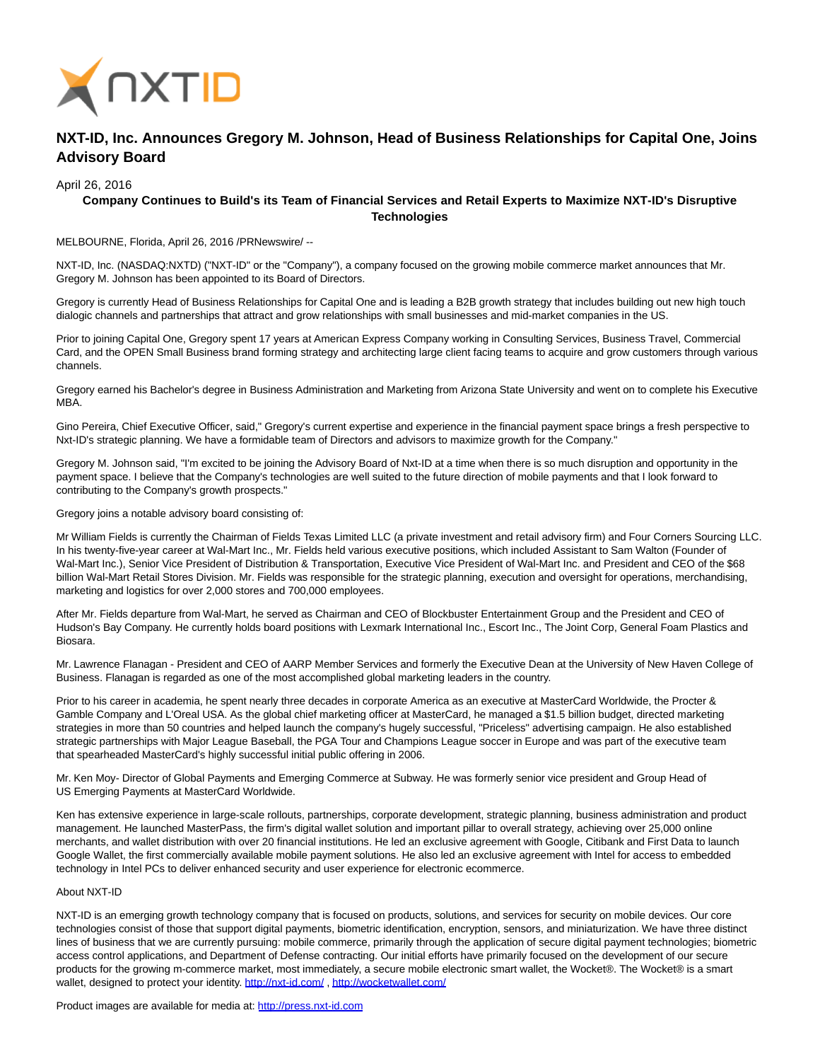

## **NXT-ID, Inc. Announces Gregory M. Johnson, Head of Business Relationships for Capital One, Joins Advisory Board**

## April 26, 2016

## **Company Continues to Build's its Team of Financial Services and Retail Experts to Maximize NXT-ID's Disruptive Technologies**

MELBOURNE, Florida, April 26, 2016 /PRNewswire/ --

NXT-ID, Inc. (NASDAQ:NXTD) ("NXT-ID" or the "Company"), a company focused on the growing mobile commerce market announces that Mr. Gregory M. Johnson has been appointed to its Board of Directors.

Gregory is currently Head of Business Relationships for Capital One and is leading a B2B growth strategy that includes building out new high touch dialogic channels and partnerships that attract and grow relationships with small businesses and mid-market companies in the US.

Prior to joining Capital One, Gregory spent 17 years at American Express Company working in Consulting Services, Business Travel, Commercial Card, and the OPEN Small Business brand forming strategy and architecting large client facing teams to acquire and grow customers through various channels.

Gregory earned his Bachelor's degree in Business Administration and Marketing from Arizona State University and went on to complete his Executive MBA.

Gino Pereira, Chief Executive Officer, said," Gregory's current expertise and experience in the financial payment space brings a fresh perspective to Nxt-ID's strategic planning. We have a formidable team of Directors and advisors to maximize growth for the Company."

Gregory M. Johnson said, "I'm excited to be joining the Advisory Board of Nxt-ID at a time when there is so much disruption and opportunity in the payment space. I believe that the Company's technologies are well suited to the future direction of mobile payments and that I look forward to contributing to the Company's growth prospects."

Gregory joins a notable advisory board consisting of:

Mr William Fields is currently the Chairman of Fields Texas Limited LLC (a private investment and retail advisory firm) and Four Corners Sourcing LLC. In his twenty-five-year career at Wal-Mart Inc., Mr. Fields held various executive positions, which included Assistant to Sam Walton (Founder of Wal-Mart Inc.), Senior Vice President of Distribution & Transportation, Executive Vice President of Wal-Mart Inc. and President and CEO of the \$68 billion Wal-Mart Retail Stores Division. Mr. Fields was responsible for the strategic planning, execution and oversight for operations, merchandising, marketing and logistics for over 2,000 stores and 700,000 employees.

After Mr. Fields departure from Wal-Mart, he served as Chairman and CEO of Blockbuster Entertainment Group and the President and CEO of Hudson's Bay Company. He currently holds board positions with Lexmark International Inc., Escort Inc., The Joint Corp, General Foam Plastics and Biosara.

Mr. Lawrence Flanagan - President and CEO of AARP Member Services and formerly the Executive Dean at the University of New Haven College of Business. Flanagan is regarded as one of the most accomplished global marketing leaders in the country.

Prior to his career in academia, he spent nearly three decades in corporate America as an executive at MasterCard Worldwide, the Procter & Gamble Company and L'Oreal USA. As the global chief marketing officer at MasterCard, he managed a \$1.5 billion budget, directed marketing strategies in more than 50 countries and helped launch the company's hugely successful, "Priceless" advertising campaign. He also established strategic partnerships with Major League Baseball, the PGA Tour and Champions League soccer in Europe and was part of the executive team that spearheaded MasterCard's highly successful initial public offering in 2006.

Mr. Ken Moy- Director of Global Payments and Emerging Commerce at Subway. He was formerly senior vice president and Group Head of US Emerging Payments at MasterCard Worldwide.

Ken has extensive experience in large-scale rollouts, partnerships, corporate development, strategic planning, business administration and product management. He launched MasterPass, the firm's digital wallet solution and important pillar to overall strategy, achieving over 25,000 online merchants, and wallet distribution with over 20 financial institutions. He led an exclusive agreement with Google, Citibank and First Data to launch Google Wallet, the first commercially available mobile payment solutions. He also led an exclusive agreement with Intel for access to embedded technology in Intel PCs to deliver enhanced security and user experience for electronic ecommerce.

## About NXT-ID

NXT-ID is an emerging growth technology company that is focused on products, solutions, and services for security on mobile devices. Our core technologies consist of those that support digital payments, biometric identification, encryption, sensors, and miniaturization. We have three distinct lines of business that we are currently pursuing: mobile commerce, primarily through the application of secure digital payment technologies; biometric access control applications, and Department of Defense contracting. Our initial efforts have primarily focused on the development of our secure products for the growing m-commerce market, most immediately, a secure mobile electronic smart wallet, the Wocket®. The Wocket® is a smart wallet, designed to protect your identity. http://nxt-id.com/,<http://wocketwallet.com/>